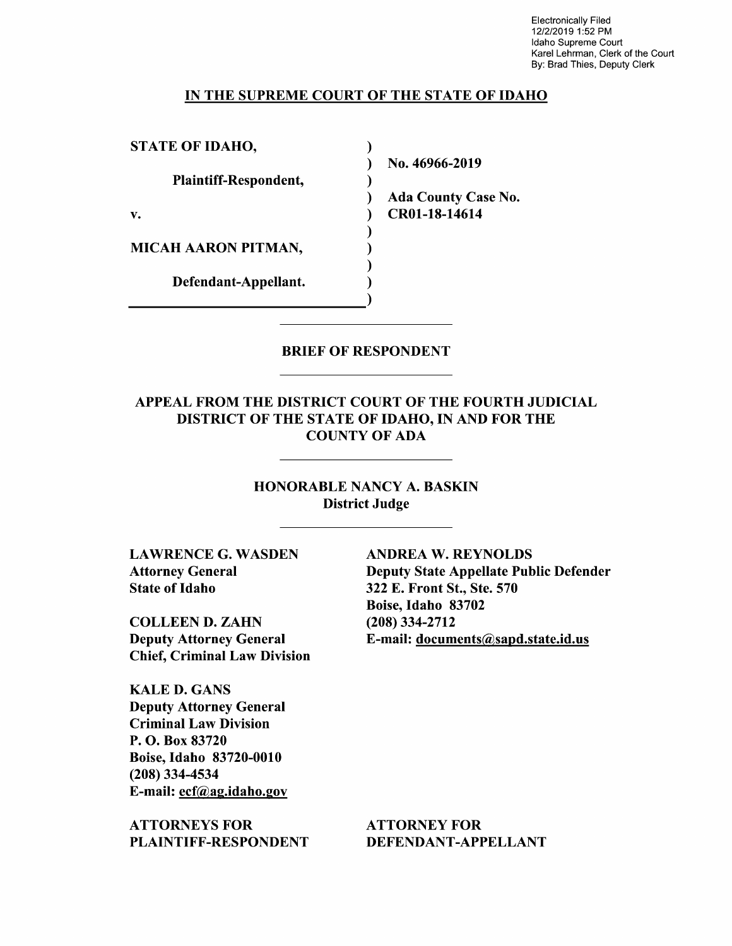Electronically Filed 12/2/2019 1:52 PM Idaho Supreme Court Karel Lehrman, Clerk of the Court By: Brad Thies, Deputy Clerk

#### IN THE SUPREME COURT OF THE STATE OF IDAHO

 $\mathcal{L}$  $\mathcal{E}$  $\mathcal{E}$  $\lambda$ 

 $\mathbf{)}$  $\mathcal{E}$  $\lambda$ 

STATE OF IDAHO,

Plaintiff—Respondent,

MICAH AARON PITMAN,

Defendant—Appellant.

N0. 46966-2019

Ada County Case N0. v. (a) CR01-18-14614

#### BRIEF OF RESPONDENT

# APPEAL FROM THE DISTRICT COURT OF THE FOURTH JUDICIAL DISTRICT OF THE STATE OF IDAHO, IN AND FOR THE COUNTY OF ADA

HONORABLE NANCY A.BASKIN District Judge

LAWRENCE G. WASDEN ANDREA W. REYNOLDS State of Idaho 322 E. Front St., Ste. 570

COLLEEN D. ZAHN (208) 334-2712 Chief, Criminal Law Division

KALE D. GANS Deputy Attorney General Criminal Law Division P. O. Box 83720 Boise, Idaho 83720-0010 (208) 334-4534 E-mail: ecf@ag.idaho.gov

ATTORNEYS FOR ATTORNEY FOR PLAINTIFF-RESPONDENT DEFENDANT-APPELLANT

Attorney General Deputy State Appellate Public Defender Boise, Idaho 83702 Deputy Attorney General E-mail: documents@sapd.state.id.us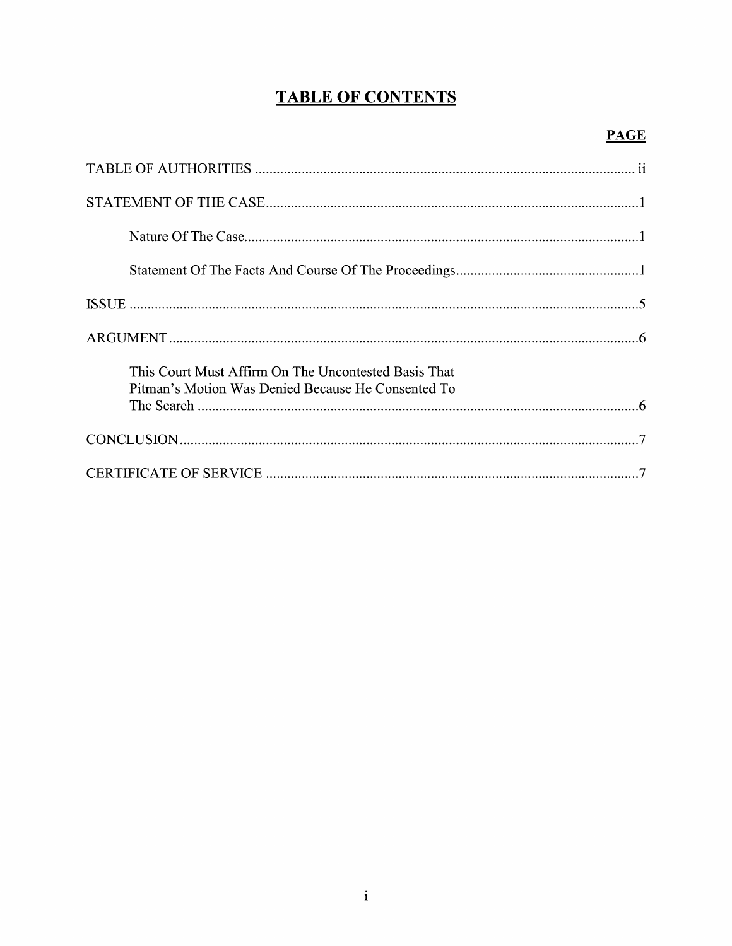# **TABLE OF CONTENTS**

## $PAGE$

| This Court Must Affirm On The Uncontested Basis That<br>Pitman's Motion Was Denied Because He Consented To |
|------------------------------------------------------------------------------------------------------------|
|                                                                                                            |
|                                                                                                            |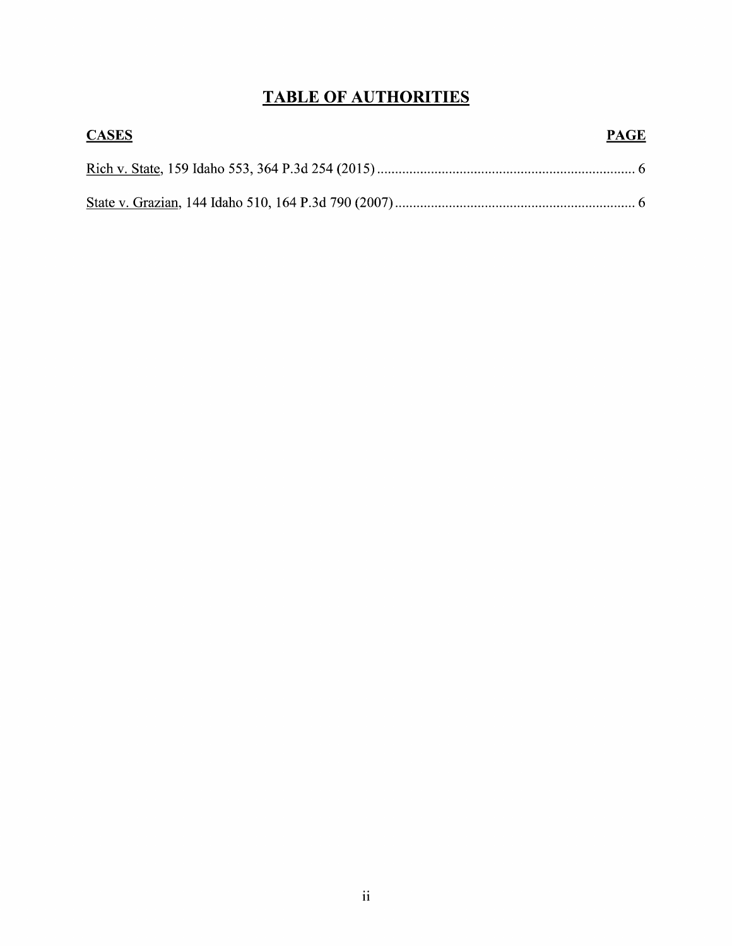## TABLE OF AUTHORITIES

| <b>CASES</b> | <b>PAGE</b> |
|--------------|-------------|
|              |             |
|              |             |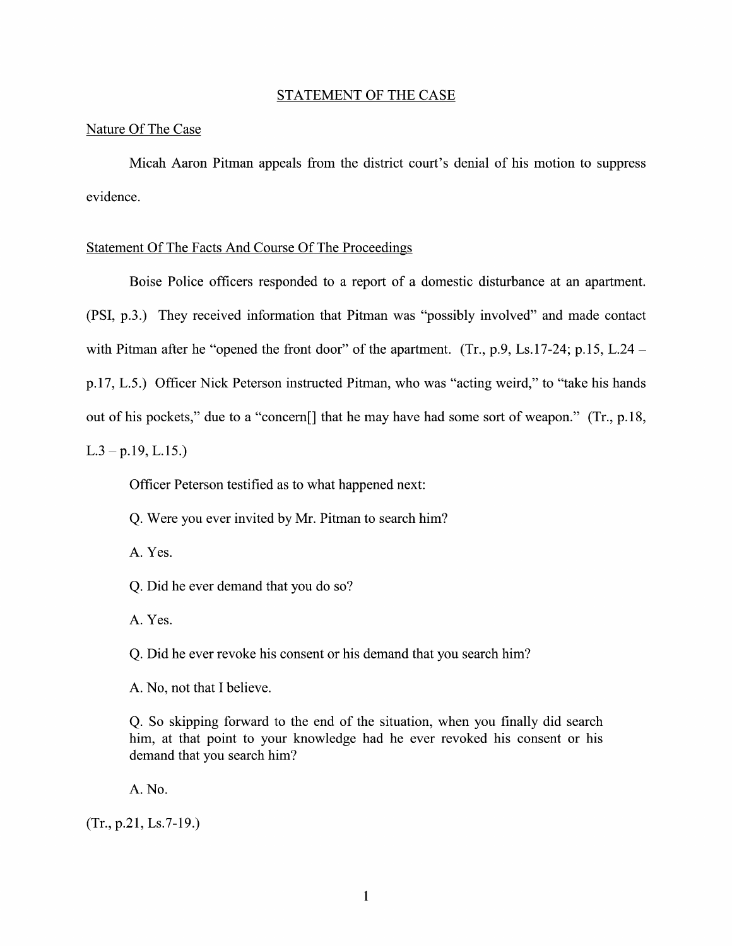#### STATEMENT OF THE CASE

#### Nature Of The Case

Micah Aaron Pitman appeals from the district court's denial 0f his motion t0 suppress evidence.

#### Statement Of The Facts And Course Of The Proceedings

Boise Police officers responded to a report of a domestic disturbance at an apartment. (PSI, p.3.) They received information that Pitman was "possibly involved" and made contact with Pitman after he "opened the front door" of the apartment. (Tr., p.9, Ls.17-24; p.15, L.24 – p.17, L.5.) Officer Nick Peterson instructed Pitman, who was "acting weird," to "take his hands out of his pockets," due to a "concern[] that he may have had some sort of weapon." (Tr., p.18,  $L.3 - p.19, L.15.$ 

Officer Peterson testified as to what happened next:

Q. Were you ever invited by Mr. Pitman to search him?

A. Yes.

Q. Did he ever demand that you do so?

A. Yes.

Q. Did he ever revoke his consent or his demand that you search him?

A. No, not that I believe.

Q. So skipping forward t0 the end of the situation, When you finally did search him, at that point to your knowledge had he ever revoked his consent or his demand that you search him?

A. No.

 $(Tr., p.21, Ls.7-19.)$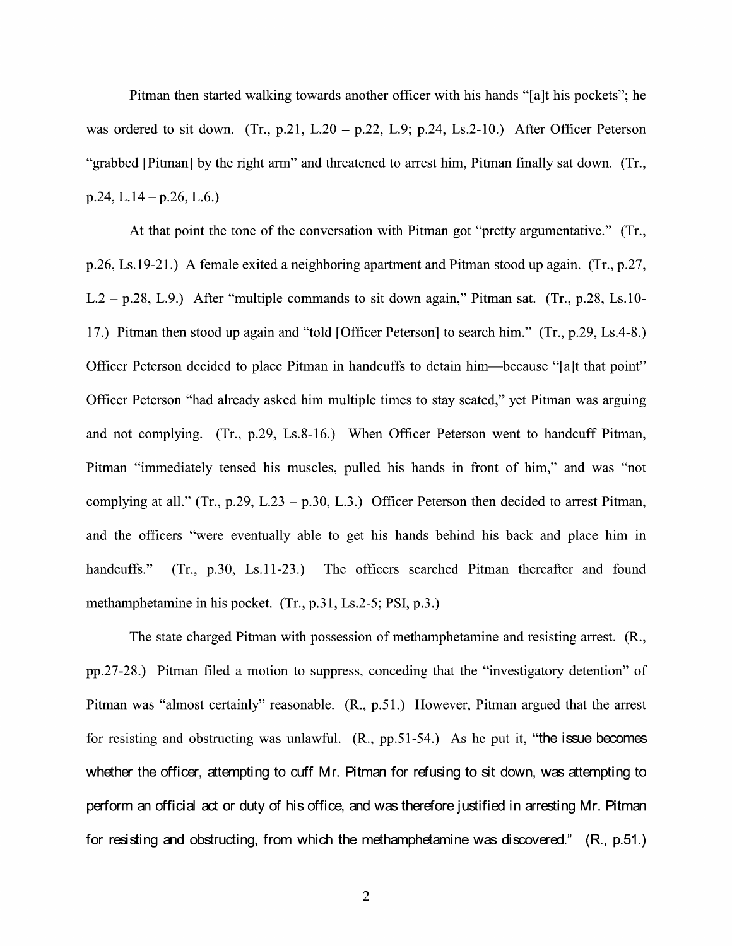Pitman then started walking towards another officer with his hands "[a]t his pockets"; he was ordered to sit down. (Tr., p.21, L.20 – p.22, L.9; p.24, Ls.2-10.) After Officer Peterson "grabbed [Pitman] by the right arm" and threatened to arrest him, Pitman finally sat down. (Tr.,  $p.24$ , L.14 –  $p.26$ , L.6.)

At that point the tone of the conversation with Pitman got "pretty argumentative." (Tr., p.26, Ls.19-21.) A female exited a neighboring apartment and Pitman stood up again. (Tr., p.27,  $L.2 - p.28$ , L.9.) After "multiple commands to sit down again," Pitman sat. (Tr., p.28, Ls.10-17.) Pitman then stood up again and "told [Officer Peterson] to search him." (Tr., p.29, Ls.4-8.) Officer Peterson decided to place Pitman in handcuffs to detain him—because "[a]t that point" Officer Peterson "had already asked him multiple times t0 stay seated," yet Pitman was arguing and not complying. (Tr., p.29, Ls.8-16.) When Officer Peterson went to handcuff Pitman, Pitman "immediately tensed his muscles, pulled his hands in front of him," and was "not complying at all." (Tr., p.29, L.23 – p.30, L.3.) Officer Peterson then decided to arrest Pitman, and the officers "were eventually able to get his hands behind his back and place him in handcuffs." (Tr., p.30, Ls.11-23.) The officers searched Pitman thereafter and found methamphetamine in his pocket.  $(Tr, p.31, Ls.2-5; PSI, p.3.)$ 

The state charged Pitman with possession of methamphetamine and resisting arrest. (R., pp.27-28.) Pitman filed a motion to suppress, conceding that the "investigatory detention" of Pitman was "almost certainly" reasonable. (R., p.51.) However, Pitman argued that the arrest for resisting and obstructing was unlawful. (R., pp.51-54.) As he put it, "the issue becomes whether the officer, attempting to cuff Mr. Pitman for refusing to sit down, was attempting to perform an official act or duty of his office, and was therefore justified in arresting Mr. Pitman for resisting and obstructing, from which the methamphetamine was discovered." (R., p.51.)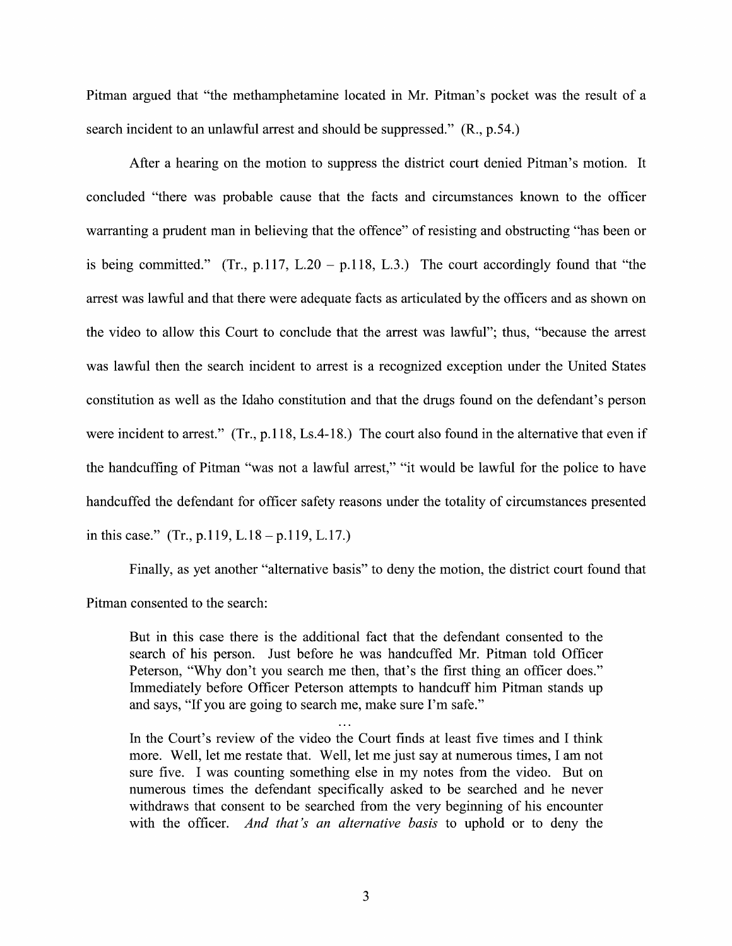Pitman argued that "the methamphetamine located in Mr. Pitman's pocket was the result of a search incident to an unlawful arrest and should be suppressed." (R., p.54.)

After a hearing on the motion to suppress the district court denied Pitman's motion. It concluded "there was probable cause that the facts and circumstances known to the officer warranting a prudent man in believing that the offence" of resisting and obstructing "has been or is being committed." (Tr., p.117, L.20 – p.118, L.3.) The court accordingly found that "the arrest was lawful and that there were adequate facts as articulated by the officers and as shown 0n the Video t0 allow this Court to conclude that the arrest was lawful"; thus, "because the arrest was lawful then the search incident to arrest is a recognized exception under the United States constitution as well as the Idaho constitution and that the drugs found 0n the defendant's person were incident to arrest." (Tr., p.118, Ls.4-18.) The court also found in the alternative that even if the handcuffing of Pitman "was not a lawful arrest," "it would be lawful for the police to have handcuffed the defendant for officer safety reasons under the totality 0f circumstances presented in this case." (Tr., p.119, L.18 – p.119, L.17.)

Finally, as yet another "alternative basis" to deny the motion, the district court found that Pitman consented to the search:

But in this case there is the additional fact that the defendant consented to the search 0f his person. Just before he was handcuffed Mr. Pitman told Officer Peterson, "Why don't you search me then, that's the first thing an officer does." Immediately before Officer Peterson attempts to handcuff him Pitman stands up and says, "If you are going to search me, make sure I'm safe."

In the Court's review of the video the Court finds at least five times and I think more. Well, let me restate that. Well, let me just say at numerous times, I am not sure five. I was counting something else in my notes from the video. But on numerous times the defendant specifically asked to be searched and he never withdraws that consent to be searched from the very beginning of his encounter with the officer. And that's an alternative basis to uphold or to deny the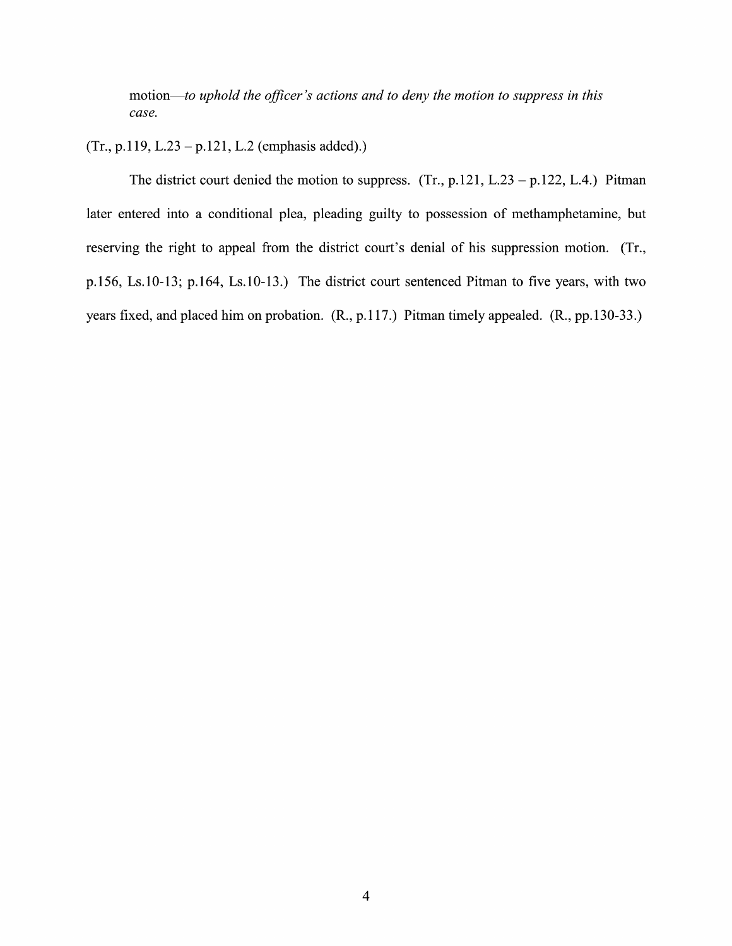motion—to uphold the officer's actions and to deny the motion to suppress in this case.

### (Tr., p.119, L.23 – p.121, L.2 (emphasis added).)

The district court denied the motion to suppress.  $(Tr, p.121, L.23 - p.122, L.4.)$  Pitman later entered into a conditional plea, pleading guilty to possession of methamphetamine, but reserving the right to appeal from the district court's denial of his suppression motion. (Tr., p.156, Ls.10-13; p.164, Ls.10-13.) The district court sentenced Pitman to five years, with two years fixed, and placed him 0n probation. (R., p.1 17.) Pitman timely appealed. (R., pp.130-33.)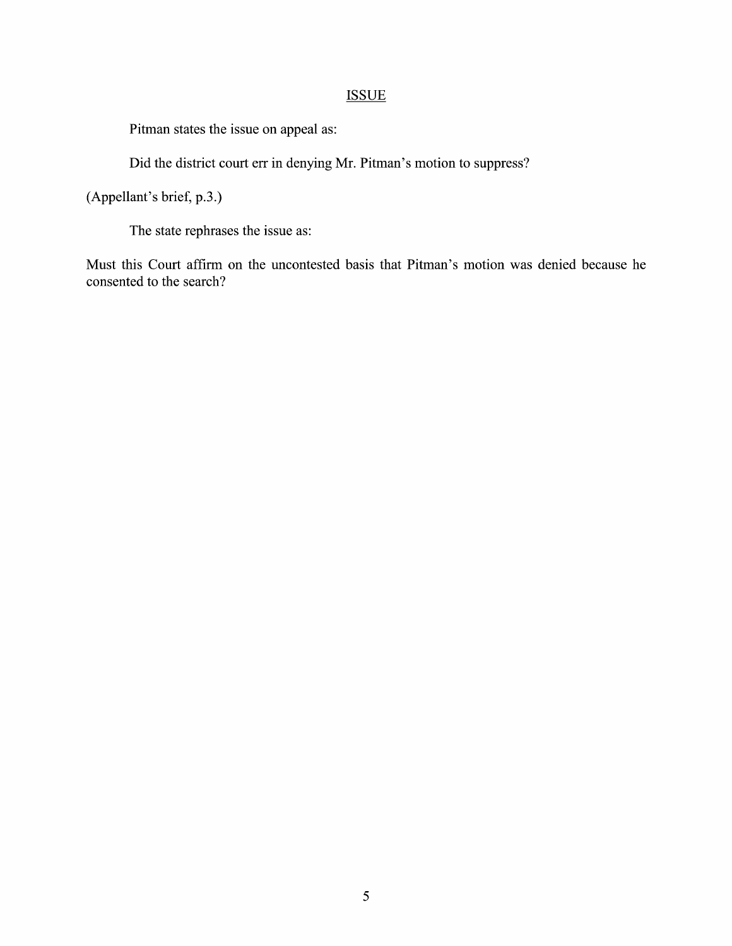## **ISSUE**

Pitman states the issue on appeal as:

Did the district court err in denying Mr. Pitman's motion to suppress?

(Appellant's brief, p.3.)

The state rephrases the issue as:

Must this Court affirm 0n the uncontested basis that Pitman's motion was denied because he consented to the search?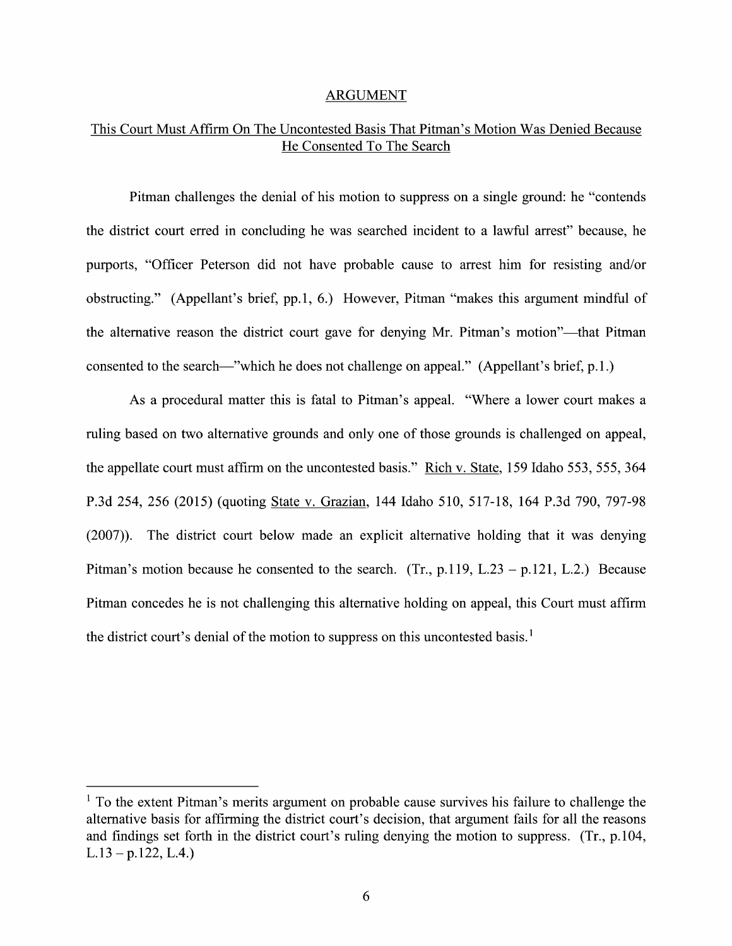#### ARGUMENT

### This Court Must Affirm On The Uncontested Basis That Pitman's Motion Was Denied Because He Consented To The Search

Pitman challenges the denial of his motion to suppress on a single ground: he "contends" the district court erred in concluding he was searched incident to a lawful arrest" because, he purports, "Officer Peterson did not have probable cause t0 arrest him for resisting and/or obstructing." (Appellant's brief, pp.1, 6.) However, Pitman "makes this argument mindful of the alternative reason the district court gave for denying Mr. Pitman's motion"—that Pitman consented to the search—"which he does not challenge on appeal." (Appellant's brief, p.1.)

As a procedural matter this is fatal to Pitman's appeal. "Where a lower court makes a ruling based 0n two alternative grounds and only one of those grounds is challenged 0n appeal, the appellate court must affirm 0n the uncontested basis." Rich V. State, <sup>159</sup> Idaho 553, 555, <sup>364</sup> P.3d 254, 256 (2015) (quoting State v. Grazian, 144 Idaho 510, 517-18, 164 P.3d 790, 797-98 (2007)). The district court below made an explicit alternative holding that it was denying Pitman's motion because he consented to the search. (Tr., p.119, L.23 – p.121, L.2.) Because Pitman concedes he is not challenging this alternative holding 0n appeal, this Court must affirm the district court's denial of the motion to suppress on this uncontested basis.<sup>1</sup>

 $<sup>1</sup>$  To the extent Pitman's merits argument on probable cause survives his failure to challenge the</sup> alternative basis for affirming the district court's decision, that argument fails for all the reasons and findings set forth in the district court's ruling denying the motion to suppress. (Tr.,  $p.104$ ,  $L.13 - p.122, L.4.$